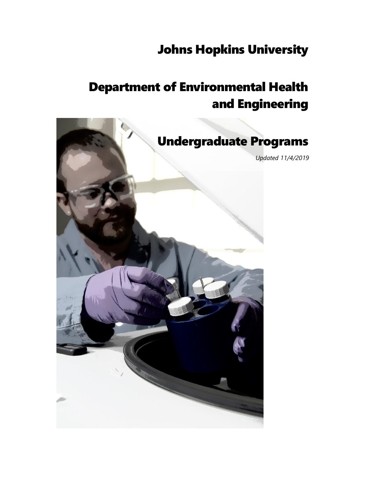# Johns Hopkins University

# Department of Environmental Health and Engineering

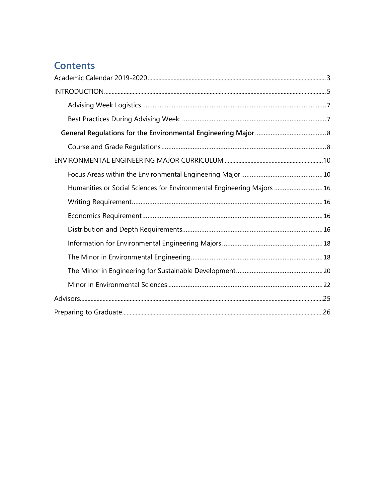## <span id="page-1-0"></span>**Contents**

| Humanities or Social Sciences for Environmental Engineering Majors  16 |
|------------------------------------------------------------------------|
|                                                                        |
|                                                                        |
|                                                                        |
|                                                                        |
|                                                                        |
|                                                                        |
|                                                                        |
|                                                                        |
|                                                                        |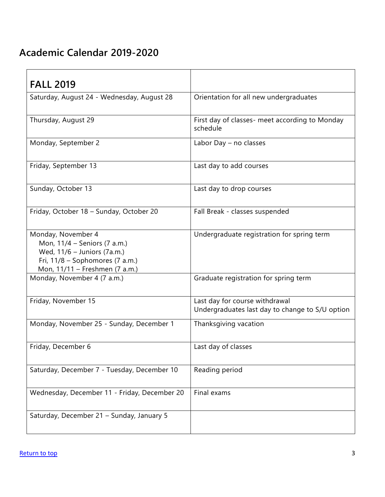## <span id="page-2-0"></span>**Academic Calendar 2019-2020**

| <b>FALL 2019</b>                                                                                                                                         |                                                                                   |
|----------------------------------------------------------------------------------------------------------------------------------------------------------|-----------------------------------------------------------------------------------|
| Saturday, August 24 - Wednesday, August 28                                                                                                               | Orientation for all new undergraduates                                            |
| Thursday, August 29                                                                                                                                      | First day of classes- meet according to Monday<br>schedule                        |
| Monday, September 2                                                                                                                                      | Labor Day - no classes                                                            |
| Friday, September 13                                                                                                                                     | Last day to add courses                                                           |
| Sunday, October 13                                                                                                                                       | Last day to drop courses                                                          |
| Friday, October 18 - Sunday, October 20                                                                                                                  | Fall Break - classes suspended                                                    |
| Monday, November 4<br>Mon, 11/4 - Seniors (7 a.m.)<br>Wed, 11/6 - Juniors (7a.m.)<br>Fri, $11/8$ – Sophomores (7 a.m.)<br>Mon, 11/11 - Freshmen (7 a.m.) | Undergraduate registration for spring term                                        |
| Monday, November 4 (7 a.m.)                                                                                                                              | Graduate registration for spring term                                             |
| Friday, November 15                                                                                                                                      | Last day for course withdrawal<br>Undergraduates last day to change to S/U option |
| Monday, November 25 - Sunday, December 1                                                                                                                 | Thanksgiving vacation                                                             |
| Friday, December 6                                                                                                                                       | Last day of classes                                                               |
| Saturday, December 7 - Tuesday, December 10                                                                                                              | Reading period                                                                    |
| Wednesday, December 11 - Friday, December 20                                                                                                             | Final exams                                                                       |
| Saturday, December 21 - Sunday, January 5                                                                                                                |                                                                                   |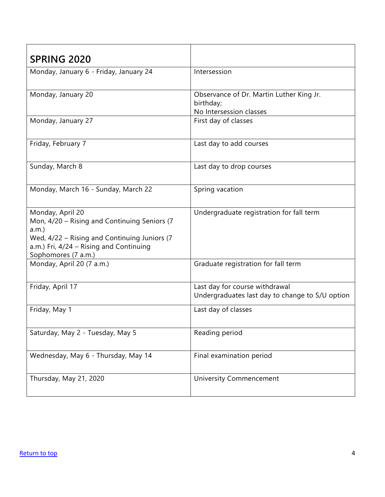| <b>SPRING 2020</b>                                                                                                                                                                         |                                                                                   |
|--------------------------------------------------------------------------------------------------------------------------------------------------------------------------------------------|-----------------------------------------------------------------------------------|
| Monday, January 6 - Friday, January 24                                                                                                                                                     | Intersession                                                                      |
| Monday, January 20                                                                                                                                                                         | Observance of Dr. Martin Luther King Jr.<br>birthday;<br>No Intersession classes  |
| Monday, January 27                                                                                                                                                                         | First day of classes                                                              |
| Friday, February 7                                                                                                                                                                         | Last day to add courses                                                           |
| Sunday, March 8                                                                                                                                                                            | Last day to drop courses                                                          |
| Monday, March 16 - Sunday, March 22                                                                                                                                                        | Spring vacation                                                                   |
| Monday, April 20<br>Mon, 4/20 - Rising and Continuing Seniors (7<br>a.m.<br>Wed, 4/22 - Rising and Continuing Juniors (7<br>a.m.) Fri, 4/24 - Rising and Continuing<br>Sophomores (7 a.m.) | Undergraduate registration for fall term                                          |
| Monday, April 20 (7 a.m.)                                                                                                                                                                  | Graduate registration for fall term                                               |
| Friday, April 17                                                                                                                                                                           | Last day for course withdrawal<br>Undergraduates last day to change to S/U option |
| Friday, May 1                                                                                                                                                                              | Last day of classes                                                               |
| Saturday, May 2 - Tuesday, May 5                                                                                                                                                           | Reading period                                                                    |
| Wednesday, May 6 - Thursday, May 14                                                                                                                                                        | Final examination period                                                          |
| Thursday, May 21, 2020                                                                                                                                                                     | <b>University Commencement</b>                                                    |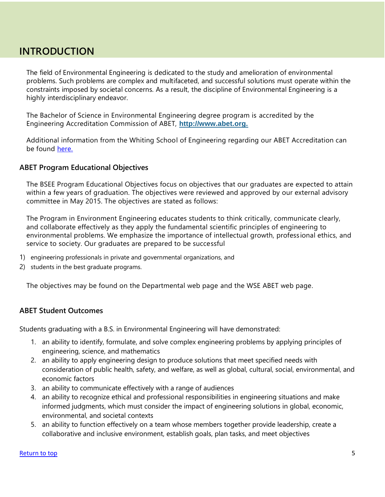### <span id="page-4-0"></span>**INTRODUCTION**

The field of Environmental Engineering is dedicated to the study and amelioration of environmental problems. Such problems are complex and multifaceted, and successful solutions must operate within the constraints imposed by societal concerns. As a result, the discipline of Environmental Engineering is a highly interdisciplinary endeavor.

The Bachelor of Science in Environmental Engineering degree program is accredited by the Engineering Accreditation Commission of ABET, **[http://www.abet.org.](http://www.abet.org/)**

Additional information from the Whiting School of Engineering regarding our ABET Accreditation can be found [here.](https://engineering.jhu.edu/undergraduate-studies/academic-policies-procedures-undergraduate/abet/)

#### **ABET Program Educational Objectives**

The BSEE Program Educational Objectives focus on objectives that our graduates are expected to attain within a few years of graduation. The objectives were reviewed and approved by our external advisory committee in May 2015. The objectives are stated as follows:

The Program in Environment Engineering educates students to think critically, communicate clearly, and collaborate effectively as they apply the fundamental scientific principles of engineering to environmental problems. We emphasize the importance of intellectual growth, professional ethics, and service to society. Our graduates are prepared to be successful

- 1) engineering professionals in private and governmental organizations, and
- 2) students in the best graduate programs.

The objectives may be found on the Departmental web page and the WSE ABET web page.

#### **ABET Student Outcomes**

Students graduating with a B.S. in Environmental Engineering will have demonstrated:

- 1. an ability to identify, formulate, and solve complex engineering problems by applying principles of engineering, science, and mathematics
- 2. an ability to apply engineering design to produce solutions that meet specified needs with consideration of public health, safety, and welfare, as well as global, cultural, social, environmental, and economic factors
- 3. an ability to communicate effectively with a range of audiences
- 4. an ability to recognize ethical and professional responsibilities in engineering situations and make informed judgments, which must consider the impact of engineering solutions in global, economic, environmental, and societal contexts
- 5. an ability to function effectively on a team whose members together provide leadership, create a collaborative and inclusive environment, establish goals, plan tasks, and meet objectives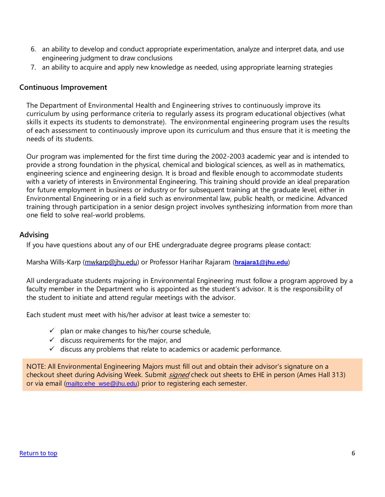- 6. an ability to develop and conduct appropriate experimentation, analyze and interpret data, and use engineering judgment to draw conclusions
- 7. an ability to acquire and apply new knowledge as needed, using appropriate learning strategies

#### **Continuous Improvement**

The Department of Environmental Health and Engineering strives to continuously improve its curriculum by using performance criteria to regularly assess its program educational objectives (what skills it expects its students to demonstrate). The environmental engineering program uses the results of each assessment to continuously improve upon its curriculum and thus ensure that it is meeting the needs of its students.

Our program was implemented for the first time during the 2002-2003 academic year and is intended to provide a strong foundation in the physical, chemical and biological sciences, as well as in mathematics, engineering science and engineering design. It is broad and flexible enough to accommodate students with a variety of interests in Environmental Engineering. This training should provide an ideal preparation for future employment in business or industry or for subsequent training at the graduate level, either in Environmental Engineering or in a field such as environmental law, public health, or medicine. Advanced training through participation in a senior design project involves synthesizing information from more than one field to solve real-world problems.

#### **Advising**

If you have questions about any of our EHE undergraduate degree programs please contact:

Marsha Wills-Karp [\(mwkarp@jhu.edu\)](mailto:mwkarp@jhu.edu) or Professor Harihar Rajaram (**[hrajara1@jhu.edu](mailto:hrajara1@jhu.edu)**)

All undergraduate students majoring in Environmental Engineering must follow a program approved by a faculty member in the Department who is appointed as the student's advisor. It is the responsibility of the student to initiate and attend regular meetings with the advisor.

Each student must meet with his/her advisor at least twice a semester to:

- $\checkmark$  plan or make changes to his/her course schedule,
- $\checkmark$  discuss requirements for the major, and
- $\checkmark$  discuss any problems that relate to academics or academic performance.

NOTE: All Environmental Engineering Majors must fill out and obtain their advisor's signature on a checkout sheet during Advising Week. Submit *signed* check out sheets to EHE in person (Ames Hall 313) or via email ([mailto:ehe\\_wse@jhu.edu](mailto:ehe_wse@jhu.edu)) prior to registering each semester.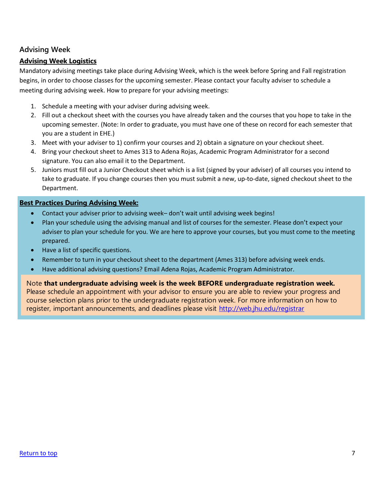#### **Advising Week**

#### <span id="page-6-0"></span>**Advising Week Logistics**

Mandatory advising meetings take place during Advising Week, which is the week before Spring and Fall registration begins, in order to choose classes for the upcoming semester. Please contact your faculty adviser to schedule a meeting during advising week. How to prepare for your advising meetings:

- 1. Schedule a meeting with your adviser during advising week.
- 2. Fill out a checkout sheet with the courses you have already taken and the courses that you hope to take in the upcoming semester. (Note: In order to graduate, you must have one of these on record for each semester that you are a student in EHE.)
- 3. Meet with your adviser to 1) confirm your courses and 2) obtain a signature on your checkout sheet.
- 4. Bring your checkout sheet to Ames 313 to Adena Rojas, Academic Program Administrator for a second signature. You can also email it to the Department.
- 5. Juniors must fill out a Junior Checkout sheet which is a list (signed by your adviser) of all courses you intend to take to graduate. If you change courses then you must submit a new, up-to-date, signed checkout sheet to the Department.

#### <span id="page-6-1"></span>**Best Practices During Advising Week:**

- Contact your adviser prior to advising week– don't wait until advising week begins!
- Plan your schedule using the advising manual and list of courses for the semester. Please don't expect your adviser to plan your schedule for you. We are here to approve your courses, but you must come to the meeting prepared.
- Have a list of specific questions.
- Remember to turn in your checkout sheet to the department (Ames 313) before advising week ends.
- Have additional advising questions? Email Adena Rojas, Academic Program Administrator.

Note **that undergraduate advising week is the week BEFORE undergraduate registration week.**

Please schedule an appointment with your advisor to ensure you are able to review your progress and course selection plans prior to the undergraduate registration week. For more information on how to register, important announcements, and deadlines please visit<http://web.jhu.edu/registrar>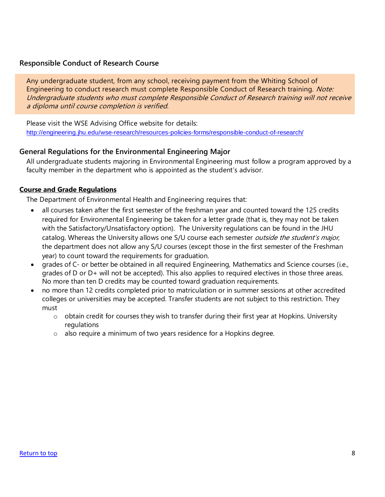#### **Responsible Conduct of Research Course**

Any undergraduate student, from any school, receiving payment from the Whiting School of Engineering to conduct research must complete Responsible Conduct of Research training. Note: Undergraduate students who must complete Responsible Conduct of Research training will not receive a diploma until course completion is verified.

Please visit the WSE Advising Office website for details: <http://engineering.jhu.edu/wse-research/resources-policies-forms/responsible-conduct-of-research/>

#### <span id="page-7-0"></span>**General Regulations for the Environmental Engineering Major**

All undergraduate students majoring in Environmental Engineering must follow a program approved by a faculty member in the department who is appointed as the student's advisor.

#### <span id="page-7-1"></span>**Course and Grade Regulations**

The Department of Environmental Health and Engineering requires that:

- all courses taken after the first semester of the freshman year and counted toward the 125 credits required for Environmental Engineering be taken for a letter grade (that is, they may not be taken with the Satisfactory/Unsatisfactory option). The University regulations can be found in the JHU catalog. Whereas the University allows one S/U course each semester *outside the student's major*, the department does not allow any S/U courses (except those in the first semester of the Freshman year) to count toward the requirements for graduation.
- grades of C- or better be obtained in all required Engineering, Mathematics and Science courses (i.e., grades of D or D+ will not be accepted). This also applies to required electives in those three areas. No more than ten D credits may be counted toward graduation requirements.
- no more than 12 credits completed prior to matriculation or in summer sessions at other accredited colleges or universities may be accepted. Transfer students are not subject to this restriction. They must
	- $\circ$  obtain credit for courses they wish to transfer during their first year at Hopkins. University regulations
	- o also require a minimum of two years residence for a Hopkins degree.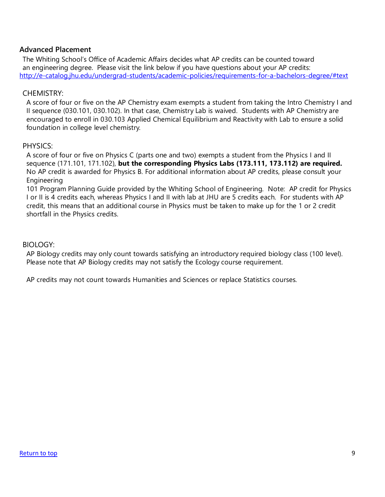#### **Advanced Placement**

The Whiting School's Office of Academic Affairs decides what AP credits can be counted toward an engineering degree. Please visit the link below if you have questions about your AP credits: <http://e-catalog.jhu.edu/undergrad-students/academic-policies/requirements-for-a-bachelors-degree/#text>

#### CHEMISTRY:

A score of four or five on the AP Chemistry exam exempts a student from taking the Intro Chemistry I and II sequence (030.101, 030.102). In that case, Chemistry Lab is waived. Students with AP Chemistry are encouraged to enroll in 030.103 Applied Chemical Equilibrium and Reactivity with Lab to ensure a solid foundation in college level chemistry.

#### PHYSICS:

A score of four or five on Physics C (parts one and two) exempts a student from the Physics I and II sequence (171.101, 171.102), **but the corresponding Physics Labs (173.111, 173.112) are required.** No AP credit is awarded for Physics B. For additional information about AP credits, please consult your Engineering

101 Program Planning Guide provided by the Whiting School of Engineering. Note: AP credit for Physics I or II is 4 credits each, whereas Physics I and II with lab at JHU are 5 credits each. For students with AP credit, this means that an additional course in Physics must be taken to make up for the 1 or 2 credit shortfall in the Physics credits.

#### BIOLOGY:

AP Biology credits may only count towards satisfying an introductory required biology class (100 level). Please note that AP Biology credits may not satisfy the Ecology course requirement.

AP credits may not count towards Humanities and Sciences or replace Statistics courses.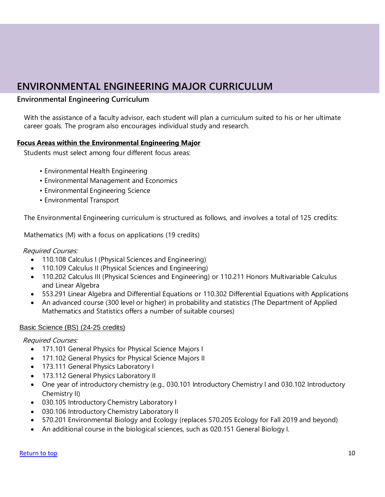## **ENVIRONMENTAL ENGINEERING MAJOR CURRICULUM**

#### **Environmental Engineering Curriculum**

With the assistance of a faculty advisor, each student will plan a curriculum suited to his or her ultimate career goals. The program also encourages individual study and research.

#### **Focus Areas within the Environmental Engineering Major**

Students must select among four different focus areas:

- Environmental Health Engineering
- Environmental Management and Economics
- Environmental Engineering Science
- Environmental Transport

The Environmental Engineering curriculum is structured as follows, and involves a total of 125 credits:

Mathematics (M) with a focus on applications (19 credits)

#### Required Courses:

- 110.108 Calculus I (Physical Sciences and Engineering)
- 110.109 Calculus II (Physical Sciences and Engineering)
- 110.202 Calculus III (Physical Sciences and Engineering) or 110.211 Honors Multivariable Calculus and Linear Algebra
- 553.291 Linear Algebra and Differential Equations or 110.302 Differential Equations with Applications
- An advanced course (300 level or higher) in probability and statistics (The Department of Applied Mathematics and Statistics offers a number of suitable courses)

#### Basic Science (BS) (24-25 credits)

Required Courses:

- 171.101 General Physics for Physical Science Majors I
- 171.102 General Physics for Physical Science Majors II
- 173.111 General Physics Laboratory I
- 173.112 General Physics Laboratory II
- One year of introductory chemistry (e.g., 030.101 Introductory Chemistry I and 030.102 Introductory Chemistry II)
- 030.105 Introductory Chemistry Laboratory I
- 030.106 Introductory Chemistry Laboratory II
- 570.201 Environmental Biology and Ecology (replaces 570.205 Ecology for Fall 2019 and beyond)
- An additional course in the biological sciences, such as 020.151 General Biology I.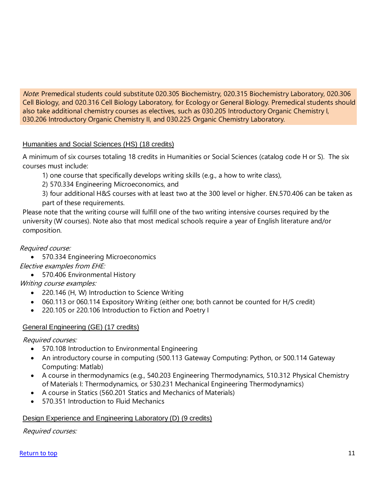Note: Premedical students could substitute 020.305 Biochemistry, 020.315 Biochemistry Laboratory, 020.306 Cell Biology, and 020.316 Cell Biology Laboratory, for Ecology or General Biology. Premedical students should also take additional chemistry courses as electives, such as 030.205 Introductory Organic Chemistry I, 030.206 Introductory Organic Chemistry II, and 030.225 Organic Chemistry Laboratory.

#### Humanities and Social Sciences (HS) (18 credits)

A minimum of six courses totaling 18 credits in Humanities or Social Sciences (catalog code H or S). The six courses must include:

1) one course that specifically develops writing skills (e.g., a how to write class),

2) 570.334 Engineering Microeconomics, and

3) four additional H&S courses with at least two at the 300 level or higher. EN.570.406 can be taken as part of these requirements.

Please note that the writing course will fulfill one of the two writing intensive courses required by the university (W courses). Note also that most medical schools require a year of English literature and/or composition.

#### Required course:

• 570.334 Engineering Microeconomics

Elective examples from EHE:

• 570.406 Environmental History

Writing course examples:

- 220.146 (H, W) Introduction to Science Writing
- 060.113 or 060.114 Expository Writing (either one; both cannot be counted for H/S credit)
- 220.105 or 220.106 Introduction to Fiction and Poetry I

#### General Engineering (GE) (17 credits)

Required courses:

- 570.108 Introduction to Environmental Engineering
- An introductory course in computing (500.113 Gateway Computing: Python, or 500.114 Gateway Computing: Matlab)
- A course in thermodynamics (e.g., 540.203 Engineering Thermodynamics, 510.312 Physical Chemistry of Materials I: Thermodynamics, or 530.231 Mechanical Engineering Thermodynamics)
- A course in Statics (560.201 Statics and Mechanics of Materials)
- 570.351 Introduction to Fluid Mechanics

#### Design Experience and Engineering Laboratory (D) (9 credits)

Required courses: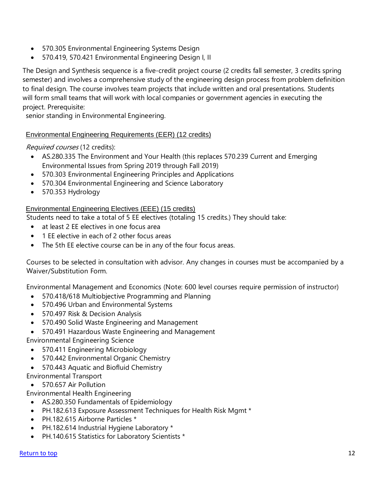- 570.305 Environmental Engineering Systems Design
- 570.419, 570.421 Environmental Engineering Design I, II

The Design and Synthesis sequence is a five-credit project course (2 credits fall semester, 3 credits spring semester) and involves a comprehensive study of the engineering design process from problem definition to final design. The course involves team projects that include written and oral presentations. Students will form small teams that will work with local companies or government agencies in executing the project. Prerequisite:

senior standing in Environmental Engineering.

#### Environmental Engineering Requirements (EER) (12 credits)

Required courses (12 credits):

- AS.280.335 The Environment and Your Health (this replaces 570.239 Current and Emerging Environmental Issues from Spring 2019 through Fall 2019)
- 570.303 Environmental Engineering Principles and Applications
- 570.304 Environmental Engineering and Science Laboratory
- 570.353 Hydrology

#### Environmental Engineering Electives (EEE) (15 credits)

Students need to take a total of 5 EE electives (totaling 15 credits.) They should take:

- at least 2 EE electives in one focus area
- 1 EE elective in each of 2 other focus areas
- The 5th EE elective course can be in any of the four focus areas.

Courses to be selected in consultation with advisor. Any changes in courses must be accompanied by a Waiver/Substitution Form.

Environmental Management and Economics (Note: 600 level courses require permission of instructor)

- 570.418/618 Multiobjective Programming and Planning
- 570.496 Urban and Environmental Systems
- 570.497 Risk & Decision Analysis
- 570.490 Solid Waste Engineering and Management
- 570.491 Hazardous Waste Engineering and Management

Environmental Engineering Science

- 570.411 Engineering Microbiology
- 570.442 Environmental Organic Chemistry
- 570.443 Aquatic and Biofluid Chemistry

Environmental Transport

• 570.657 Air Pollution

Environmental Health Engineering

- AS.280.350 Fundamentals of Epidemiology
- PH.182.613 Exposure Assessment Techniques for Health Risk Mgmt \*
- PH.182.615 Airborne Particles \*
- PH.182.614 Industrial Hygiene Laboratory \*
- PH.140.615 Statistics for Laboratory Scientists \*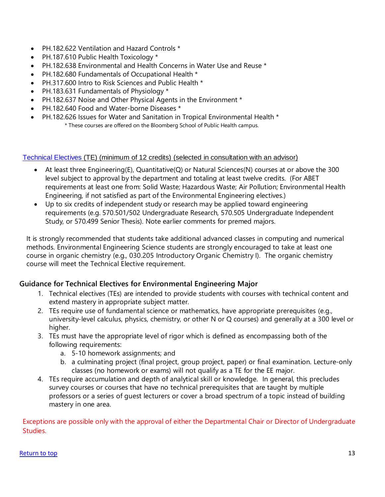- PH.182.622 Ventilation and Hazard Controls \*
- PH.187.610 Public Health Toxicology \*
- PH.182.638 Environmental and Health Concerns in Water Use and Reuse \*
- PH.182.680 Fundamentals of Occupational Health \*
- PH.317.600 Intro to Risk Sciences and Public Health \*
- PH.183.631 Fundamentals of Physiology \*
- PH.182.637 Noise and Other Physical Agents in the Environment \*
- PH.182.640 Food and Water-borne Diseases \*
- PH.182.626 Issues for Water and Sanitation in Tropical Environmental Health \* \* These courses are offered on the Bloomberg School of Public Health campus.

#### [Technical](https://ehe.jhu.edu/undergraduate/undergraduate-advising/technical-electives.html) Electives (TE) (minimum of 12 credits) (selected in consultation with an advisor)

- At least three Engineering(E), Quantitative(Q) or Natural Sciences(N) courses at or above the 300 level subject to approval by the department and totaling at least twelve credits. (For ABET requirements at least one from: Solid Waste; Hazardous Waste; Air Pollution; Environmental Health Engineering, if not satisfied as part of the Environmental Engineering electives.)
- Up to six credits of independent study or research may be applied toward engineering requirements (e.g. 570.501/502 Undergraduate Research, 570.505 Undergraduate Independent Study, or 570.499 Senior Thesis). Note earlier comments for premed majors.

It is strongly recommended that students take additional advanced classes in computing and numerical methods. Environmental Engineering Science students are strongly encouraged to take at least one course in organic chemistry (e.g., 030.205 Introductory Organic Chemistry I). The organic chemistry course will meet the Technical Elective requirement.

#### **Guidance for Technical Electives for Environmental Engineering Major**

- 1. Technical electives (TEs) are intended to provide students with courses with technical content and extend mastery in appropriate subject matter.
- 2. TEs require use of fundamental science or mathematics, have appropriate prerequisites (e.g., university-level calculus, physics, chemistry, or other N or Q courses) and generally at a 300 level or higher.
- 3. TEs must have the appropriate level of rigor which is defined as encompassing both of the following requirements:
	- a. 5-10 homework assignments; and
	- b. a culminating project (final project, group project, paper) or final examination. Lecture-only classes (no homework or exams) will not qualify as a TE for the EE major.
- 4. TEs require accumulation and depth of analytical skill or knowledge. In general, this precludes survey courses or courses that have no technical prerequisites that are taught by multiple professors or a series of guest lecturers or cover a broad spectrum of a topic instead of building mastery in one area.

Exceptions are possible only with the approval of either the Departmental Chair or Director of Undergraduate Studies.

#### [Return to top](#page-1-0) 13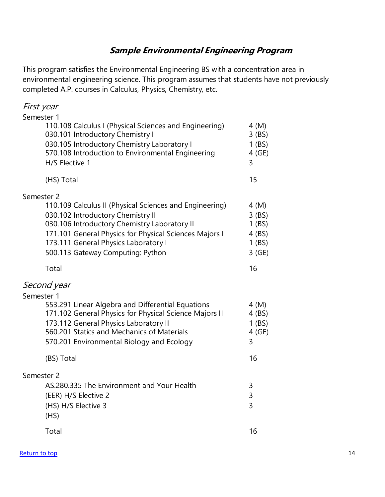### **Sample Environmental Engineering Program**

This program satisfies the Environmental Engineering BS with a concentration area in environmental engineering science. This program assumes that students have not previously completed A.P. courses in Calculus, Physics, Chemistry, etc.

| First year                                                                                                                                                                                                                                                                                        |                                                              |
|---------------------------------------------------------------------------------------------------------------------------------------------------------------------------------------------------------------------------------------------------------------------------------------------------|--------------------------------------------------------------|
| Semester 1<br>110.108 Calculus I (Physical Sciences and Engineering)<br>030.101 Introductory Chemistry I<br>030.105 Introductory Chemistry Laboratory I<br>570.108 Introduction to Environmental Engineering<br>H/S Elective 1                                                                    | 4 (M)<br>$3$ (BS)<br>$1$ (BS)<br>4(GE)<br>3                  |
| (HS) Total                                                                                                                                                                                                                                                                                        | 15                                                           |
| Semester 2<br>110.109 Calculus II (Physical Sciences and Engineering)<br>030.102 Introductory Chemistry II<br>030.106 Introductory Chemistry Laboratory II<br>171.101 General Physics for Physical Sciences Majors I<br>173.111 General Physics Laboratory I<br>500.113 Gateway Computing: Python | 4 (M)<br>$3$ (BS)<br>$1$ (BS)<br>4 (BS)<br>$1$ (BS)<br>3(GE) |
| Total                                                                                                                                                                                                                                                                                             | 16                                                           |
| Second year<br>Semester 1                                                                                                                                                                                                                                                                         |                                                              |
| 553.291 Linear Algebra and Differential Equations<br>171.102 General Physics for Physical Science Majors II<br>173.112 General Physics Laboratory II<br>560.201 Statics and Mechanics of Materials<br>570.201 Environmental Biology and Ecology                                                   | 4 (M)<br>4 (BS)<br>$1$ (BS)<br>4(GE)<br>3                    |
| (BS) Total                                                                                                                                                                                                                                                                                        | 16                                                           |
| Semester 2<br>AS.280.335 The Environment and Your Health<br>(EER) H/S Elective 2<br>(HS) H/S Elective 3<br>(HS)                                                                                                                                                                                   | 3<br>3<br>3                                                  |
| Total                                                                                                                                                                                                                                                                                             | 16                                                           |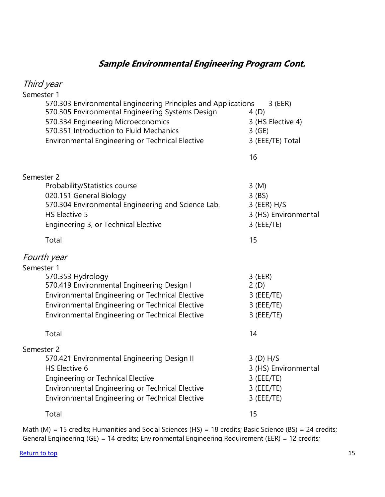### **Sample Environmental Engineering Program Cont.**

| Third year                                                                                                                                                                                                                                            |                                                                                    |
|-------------------------------------------------------------------------------------------------------------------------------------------------------------------------------------------------------------------------------------------------------|------------------------------------------------------------------------------------|
| Semester 1                                                                                                                                                                                                                                            |                                                                                    |
| 570.303 Environmental Engineering Principles and Applications<br>570.305 Environmental Engineering Systems Design<br>570.334 Engineering Microeconomics<br>570.351 Introduction to Fluid Mechanics<br>Environmental Engineering or Technical Elective | 3 (EER)<br>4(D)<br>3 (HS Elective 4)<br>3(GE)<br>3 (EEE/TE) Total                  |
|                                                                                                                                                                                                                                                       | 16                                                                                 |
| Semester 2                                                                                                                                                                                                                                            |                                                                                    |
| Probability/Statistics course<br>020.151 General Biology<br>570.304 Environmental Engineering and Science Lab.<br>HS Elective 5<br>Engineering 3, or Technical Elective                                                                               | 3(M)<br>$3$ (BS)<br>$3$ (EER) H/S<br>3 (HS) Environmental<br>$3$ (EEE/TE)          |
| Total                                                                                                                                                                                                                                                 | 15                                                                                 |
| Fourth year<br>Semester 1                                                                                                                                                                                                                             |                                                                                    |
| 570.353 Hydrology<br>570.419 Environmental Engineering Design I<br>Environmental Engineering or Technical Elective<br>Environmental Engineering or Technical Elective<br>Environmental Engineering or Technical Elective                              | $3$ (EER)<br>2(D)<br>$3$ (EEE/TE)<br>$3$ (EEE/TE)<br>$3$ (EEE/TE)                  |
| Total                                                                                                                                                                                                                                                 | 14                                                                                 |
| Semester 2<br>570.421 Environmental Engineering Design II<br>HS Elective 6<br>Engineering or Technical Elective<br>Environmental Engineering or Technical Elective<br>Environmental Engineering or Technical Elective                                 | $3(D)$ H/S<br>3 (HS) Environmental<br>$3$ (EEE/TE)<br>$3$ (EEE/TE)<br>$3$ (EEE/TE) |
| Total                                                                                                                                                                                                                                                 | 15                                                                                 |

Math (M) = 15 credits; Humanities and Social Sciences (HS) = 18 credits; Basic Science (BS) = 24 credits; General Engineering (GE) = 14 credits; Environmental Engineering Requirement (EER) = 12 credits;

[Return to top](#page-1-0) 15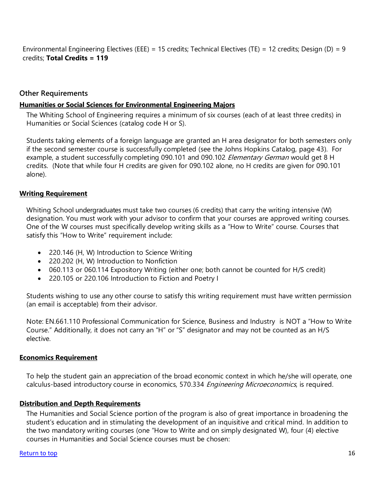Environmental Engineering Electives (EEE) = 15 credits; Technical Electives (TE) = 12 credits; Design (D) = 9 credits; **Total Credits = 119**

#### **Other Requirements**

#### <span id="page-15-0"></span>**Humanities or Social Sciences for Environmental Engineering Majors**

The Whiting School of Engineering requires a minimum of six courses (each of at least three credits) in Humanities or Social Sciences (catalog code H or S).

Students taking elements of a foreign language are granted an H area designator for both semesters only if the second semester course is successfully completed (see the Johns Hopkins Catalog, page 43). For example, a student successfully completing 090.101 and 090.102 Elementary German would get 8 H credits. (Note that while four H credits are given for 090.102 alone, no H credits are given for 090.101 alone).

#### <span id="page-15-1"></span>**Writing Requirement**

Whiting School undergraduates must take two courses (6 credits) that carry the writing intensive (W) designation. You must work with your advisor to confirm that your courses are approved writing courses. One of the W courses must specifically develop writing skills as a "How to Write" course. Courses that satisfy this "How to Write" requirement include:

- 220.146 (H, W) Introduction to Science Writing
- 220.202 (H, W) Introduction to Nonfiction
- 060.113 or 060.114 Expository Writing (either one; both cannot be counted for H/S credit)
- 220.105 or 220.106 Introduction to Fiction and Poetry I

Students wishing to use any other course to satisfy this writing requirement must have written permission (an email is acceptable) from their advisor.

Note: EN.661.110 Professional Communication [for Science, Business and](https://isis.jhu.edu/classes/results.aspx) Industry is NOT a "How to Write Course." Additionally, it does not carry an "H" or "S" designator and may not be counted as an H/S elective.

#### <span id="page-15-2"></span>**Economics Requirement**

To help the student gain an appreciation of the broad economic context in which he/she will operate, one calculus-based introductory course in economics, 570.334 Engineering Microeconomics, is required.

#### <span id="page-15-3"></span>**Distribution and Depth Requirements**

The Humanities and Social Science portion of the program is also of great importance in broadening the student's education and in stimulating the development of an inquisitive and critical mind. In addition to the two mandatory writing courses (one "How to Write and on simply designated W), four (4) elective courses in Humanities and Social Science courses must be chosen: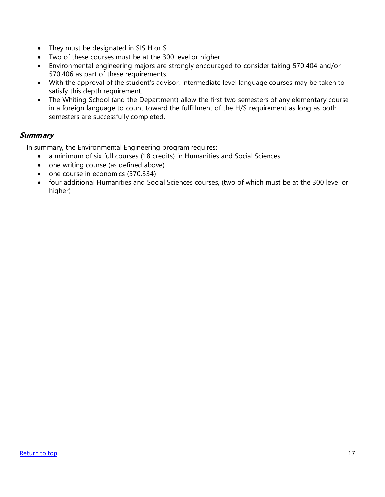- They must be designated in SIS H or S
- Two of these courses must be at the 300 level or higher.
- Environmental engineering majors are strongly encouraged to consider taking 570.404 and/or 570.406 as part of these requirements.
- With the approval of the student's advisor, intermediate level language courses may be taken to satisfy this depth requirement.
- The Whiting School (and the Department) allow the first two semesters of any elementary course in a foreign language to count toward the fulfillment of the H/S requirement as long as both semesters are successfully completed.

#### **Summary**

In summary, the Environmental Engineering program requires:

- a minimum of six full courses (18 credits) in Humanities and Social Sciences
- one writing course (as defined above)
- one course in economics (570.334)
- four additional Humanities and Social Sciences courses, (two of which must be at the 300 level or higher)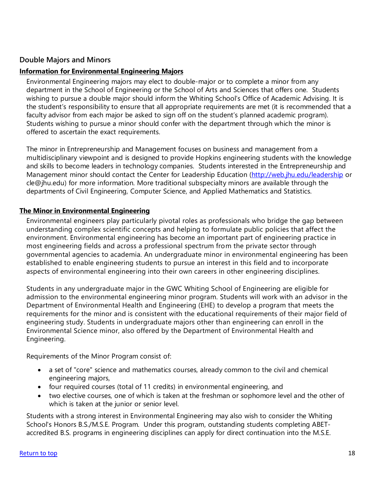#### **Double Majors and Minors**

#### <span id="page-17-0"></span>**Information for Environmental Engineering Majors**

Environmental Engineering majors may elect to double-major or to complete a minor from any department in the School of Engineering or the School of Arts and Sciences that offers one. Students wishing to pursue a double major should inform the Whiting School's Office of Academic Advising. It is the student's responsibility to ensure that all appropriate requirements are met (it is recommended that a faculty advisor from each major be asked to sign off on the student's planned academic program). Students wishing to pursue a minor should confer with the department through which the minor is offered to ascertain the exact requirements.

The minor in Entrepreneurship and Management focuses on business and management from a multidisciplinary viewpoint and is designed to provide Hopkins engineering students with the knowledge and skills to become leaders in technology companies. Students interested in the Entrepreneurship and Management minor should contact the Center for Leadership Education [\(http://web.jhu.edu/leadership](http://web.jhu.edu/leadership) or cle@jhu.edu) for more information. More traditional subspecialty minors are available through the departments of Civil Engineering, Computer Science, and Applied Mathematics and Statistics.

#### <span id="page-17-1"></span>**The Minor in Environmental Engineering**

Environmental engineers play particularly pivotal roles as professionals who bridge the gap between understanding complex scientific concepts and helping to formulate public policies that affect the environment. Environmental engineering has become an important part of engineering practice in most engineering fields and across a professional spectrum from the private sector through governmental agencies to academia. An undergraduate minor in environmental engineering has been established to enable engineering students to pursue an interest in this field and to incorporate aspects of environmental engineering into their own careers in other engineering disciplines.

Students in any undergraduate major in the GWC Whiting School of Engineering are eligible for admission to the environmental engineering minor program. Students will work with an advisor in the Department of Environmental Health and Engineering (EHE) to develop a program that meets the requirements for the minor and is consistent with the educational requirements of their major field of engineering study. Students in undergraduate majors other than engineering can enroll in the Environmental Science minor, also offered by the Department of Environmental Health and Engineering.

Requirements of the Minor Program consist of:

- a set of "core" science and mathematics courses, already common to the civil and chemical engineering majors,
- four required courses (total of 11 credits) in environmental engineering, and
- two elective courses, one of which is taken at the freshman or sophomore level and the other of which is taken at the junior or senior level.

Students with a strong interest in Environmental Engineering may also wish to consider the Whiting School's Honors B.S./M.S.E. Program. Under this program, outstanding students completing ABETaccredited B.S. programs in engineering disciplines can apply for direct continuation into the M.S.E.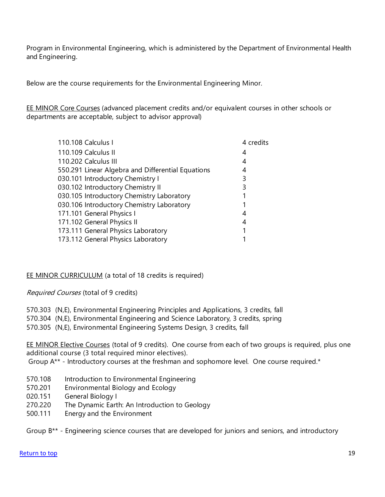Program in Environmental Engineering, which is administered by the Department of Environmental Health and Engineering.

Below are the course requirements for the Environmental Engineering Minor.

EE MINOR Core Courses (advanced placement credits and/or equivalent courses in other schools or departments are acceptable, subject to advisor approval)

| 110.108 Calculus I                                | 4 credits |
|---------------------------------------------------|-----------|
| 110.109 Calculus II                               | 4         |
| 110.202 Calculus III                              | 4         |
| 550.291 Linear Algebra and Differential Equations | 4         |
| 030.101 Introductory Chemistry I                  | 3         |
| 030.102 Introductory Chemistry II                 | 3         |
| 030.105 Introductory Chemistry Laboratory         |           |
| 030.106 Introductory Chemistry Laboratory         |           |
| 171.101 General Physics I                         |           |
| 171.102 General Physics II                        | 4         |
| 173.111 General Physics Laboratory                |           |
| 173.112 General Physics Laboratory                |           |

#### EE MINOR CURRICULUM (a total of 18 credits is required)

Required Courses (total of 9 credits)

570.303 (N,E), Environmental Engineering Principles and Applications, 3 credits, fall

- 570.304 (N,E), Environmental Engineering and Science Laboratory, 3 credits, spring
- 570.305 (N,E), Environmental Engineering Systems Design, 3 credits, fall

EE MINOR Elective Courses (total of 9 credits). One course from each of two groups is required, plus one additional course (3 total required minor electives).

Group A\*\* - Introductory courses at the freshman and sophomore level. One course required.\*

- 570.108 Introduction to Environmental Engineering
- 570.201 Environmental Biology and Ecology
- 020.151 General Biology I
- 270.220 The Dynamic Earth: An Introduction to Geology
- 500.111 Energy and the Environment

Group B\*\* - Engineering science courses that are developed for juniors and seniors, and introductory

#### [Return to top](#page-1-0) 19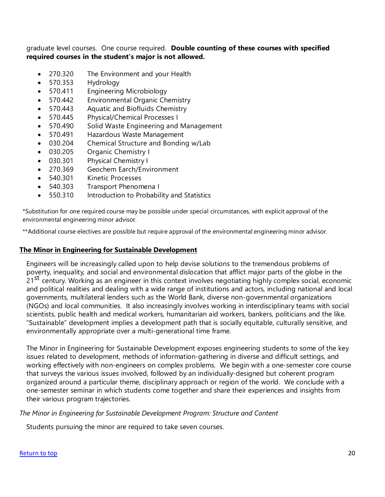graduate level courses. One course required. **Double counting of these courses with specified required courses in the student's major is not allowed.**

- 270.320 The Environment and your Health
- 570.353 Hydrology
- 570.411 Engineering Microbiology
- 570.442 Environmental Organic Chemistry
- 570.443 Aquatic and Biofluids Chemistry
- 570.445 Physical/Chemical Processes I
- 570.490 Solid Waste Engineering and Management
- 570.491 Hazardous Waste Management
- 030.204 Chemical Structure and Bonding w/Lab
- 030.205 Organic Chemistry I
- 030.301 Physical Chemistry I
- 270.369 Geochem Earch/Environment
- 540.301 Kinetic Processes
- 540.303 Transport Phenomena I
- 550.310 Introduction to Probability and Statistics

\*Substitution for one required course may be possible under special circumstances, with explicit approval of the environmental engineering minor advisor.

\*\*Additional course electives are possible but require approval of the environmental engineering minor advisor.

#### <span id="page-19-0"></span>**The Minor in Engineering for Sustainable Development**

Engineers will be increasingly called upon to help devise solutions to the tremendous problems of poverty, inequality, and social and environmental dislocation that afflict major parts of the globe in the poverty, mequality, and be side and entiremmental distoduction that differentiate inspected the groups in the<br>21<sup>St</sup> century. Working as an engineer in this context involves negotiating highly complex social, economic and political realities and dealing with a wide range of institutions and actors, including national and local governments, multilateral lenders such as the World Bank, diverse non-governmental organizations (NGOs) and local communities. It also increasingly involves working in interdisciplinary teams with social scientists, public health and medical workers, humanitarian aid workers, bankers, politicians and the like. "Sustainable" development implies a development path that is socially equitable, culturally sensitive, and environmentally appropriate over a multi-generational time frame.

The Minor in Engineering for Sustainable Development exposes engineering students to some of the key issues related to development, methods of information-gathering in diverse and difficult settings, and working effectively with non-engineers on complex problems. We begin with a one-semester core course that surveys the various issues involved, followed by an individually-designed but coherent program organized around a particular theme, disciplinary approach or region of the world. We conclude with a one-semester seminar in which students come together and share their experiences and insights from their various program trajectories.

*The Minor in Engineering for Sustainable Development Program: Structure and Content*

Students pursuing the minor are required to take seven courses.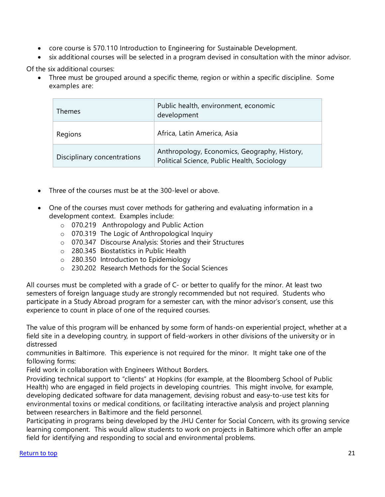- core course is 570.110 Introduction to Engineering for Sustainable Development.
- six additional courses will be selected in a program devised in consultation with the minor advisor.

Of the six additional courses:

• Three must be grouped around a specific theme, region or within a specific discipline. Some examples are:

| <b>Themes</b>               | Public health, environment, economic<br>development                                         |
|-----------------------------|---------------------------------------------------------------------------------------------|
| Regions                     | Africa, Latin America, Asia                                                                 |
| Disciplinary concentrations | Anthropology, Economics, Geography, History,<br>Political Science, Public Health, Sociology |

- Three of the courses must be at the 300-level or above.
- One of the courses must cover methods for gathering and evaluating information in a development context. Examples include:
	- o 070.219 Anthropology and Public Action
	- o 070.319 The Logic of Anthropological Inquiry
	- o 070.347 Discourse Analysis: Stories and their Structures
	- o 280.345 Biostatistics in Public Health
	- o 280.350 Introduction to Epidemiology
	- o 230.202 Research Methods for the Social Sciences

All courses must be completed with a grade of C- or better to qualify for the minor. At least two semesters of foreign language study are strongly recommended but not required. Students who participate in a Study Abroad program for a semester can, with the minor advisor's consent, use this experience to count in place of one of the required courses.

The value of this program will be enhanced by some form of hands-on experiential project, whether at a field site in a developing country, in support of field-workers in other divisions of the university or in distressed

communities in Baltimore. This experience is not required for the minor. It might take one of the following forms:

Field work in collaboration with Engineers Without Borders.

Providing technical support to "clients" at Hopkins (for example, at the Bloomberg School of Public Health) who are engaged in field projects in developing countries. This might involve, for example, developing dedicated software for data management, devising robust and easy-to-use test kits for environmental toxins or medical conditions, or facilitating interactive analysis and project planning between researchers in Baltimore and the field personnel.

Participating in programs being developed by the JHU Center for Social Concern, with its growing service learning component. This would allow students to work on projects in Baltimore which offer an ample field for identifying and responding to social and environmental problems.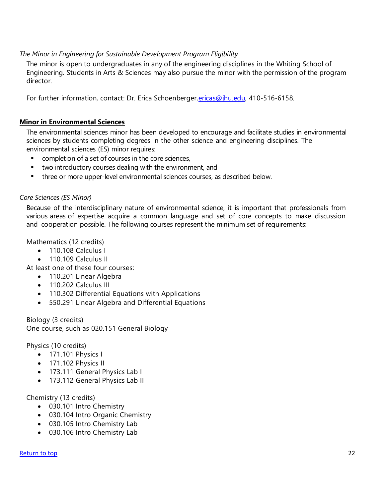#### *The Minor in Engineering for Sustainable Development Program Eligibility*

The minor is open to undergraduates in any of the engineering disciplines in the Whiting School of Engineering. Students in Arts & Sciences may also pursue the minor with the permission of the program director.

For further information, contact: Dr. Erica Schoenberger, ericas@jhu.edu, 410-516-6158.

#### <span id="page-21-0"></span>**Minor in Environmental Sciences**

The environmental sciences minor has been developed to encourage and facilitate studies in environmental sciences by students completing degrees in the other science and engineering disciplines. The environmental sciences (ES) minor requires:

- completion of a set of courses in the core sciences,
- two introductory courses dealing with the environment, and
- **•** three or more upper-level environmental sciences courses, as described below.

#### *Core Sciences (ES Minor)*

Because of the interdisciplinary nature of environmental science, it is important that professionals from various areas of expertise acquire a common language and set of core concepts to make discussion and cooperation possible. The following courses represent the minimum set of requirements:

Mathematics (12 credits)

- 110.108 Calculus L
- 110.109 Calculus II
- At least one of these four courses:
	- 110.201 Linear Algebra
	- 110.202 Calculus III
	- 110.302 Differential Equations with Applications
	- 550.291 Linear Algebra and Differential Equations

Biology (3 credits) One course, such as 020.151 General Biology

Physics (10 credits)

- 171.101 Physics I
- 171.102 Physics II
- 173.111 General Physics Lab I
- 173.112 General Physics Lab II

#### Chemistry (13 credits)

- 030.101 Intro Chemistry
- 030.104 Intro Organic Chemistry
- 030.105 Intro Chemistry Lab
- 030.106 Intro Chemistry Lab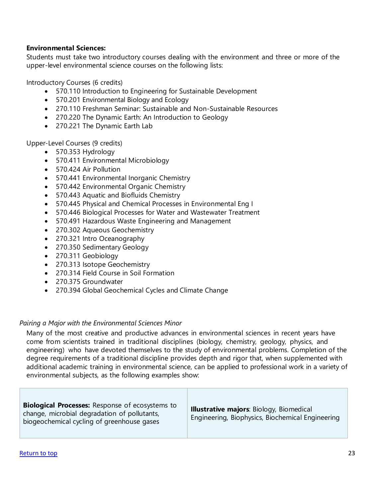#### **Environmental Sciences:**

Students must take two introductory courses dealing with the environment and three or more of the upper-level environmental science courses on the following lists:

Introductory Courses (6 credits)

- 570.110 Introduction to Engineering for Sustainable Development
- 570.201 Environmental Biology and Ecology
- 270.110 Freshman Seminar: Sustainable and Non-Sustainable Resources
- 270.220 The Dynamic Earth: An Introduction to Geology
- 270.221 The Dynamic Earth Lab

Upper-Level Courses (9 credits)

- 570.353 Hydrology
- 570.411 Environmental Microbiology
- 570.424 Air Pollution
- 570.441 Environmental Inorganic Chemistry
- 570.442 Environmental Organic Chemistry
- 570.443 Aquatic and Biofluids Chemistry
- 570.445 Physical and Chemical Processes in Environmental Eng I
- 570.446 Biological Processes for Water and Wastewater Treatment
- 570.491 Hazardous Waste Engineering and Management
- 270.302 Aqueous Geochemistry
- 270.321 Intro Oceanography
- 270.350 Sedimentary Geology
- 270.311 Geobiology
- 270.313 Isotope Geochemistry
- 270.314 Field Course in Soil Formation
- 270.375 Groundwater
- 270.394 Global Geochemical Cycles and Climate Change

#### *Pairing a Major with the Environmental Sciences Minor*

Many of the most creative and productive advances in environmental sciences in recent years have come from scientists trained in traditional disciplines (biology, chemistry, geology, physics, and engineering) who have devoted themselves to the study of environmental problems. Completion of the degree requirements of a traditional discipline provides depth and rigor that, when supplemented with additional academic training in environmental science, can be applied to professional work in a variety of environmental subjects, as the following examples show:

| <b>Biological Processes:</b> Response of ecosystems to<br>change, microbial degradation of pollutants,<br>biogeochemical cycling of greenhouse gases | <b>Illustrative majors: Biology, Biomedical</b><br>Engineering, Biophysics, Biochemical Engineering |
|------------------------------------------------------------------------------------------------------------------------------------------------------|-----------------------------------------------------------------------------------------------------|
|------------------------------------------------------------------------------------------------------------------------------------------------------|-----------------------------------------------------------------------------------------------------|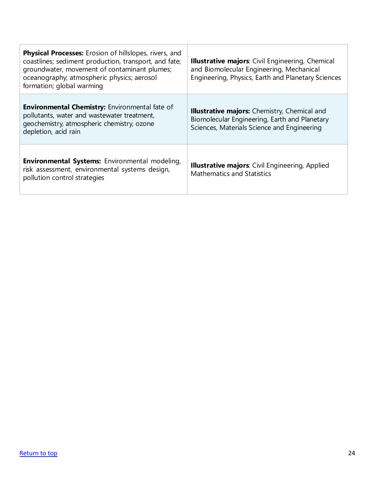| <b>Physical Processes:</b> Erosion of hillslopes, rivers, and<br>coastlines; sediment production, transport, and fate;<br>groundwater, movement of contaminant plumes;<br>oceanography; atmospheric physics; aerosol<br>formation; global warming | <b>Illustrative majors:</b> Civil Engineering, Chemical<br>and Biomolecular Engineering, Mechanical<br>Engineering, Physics, Earth and Planetary Sciences |
|---------------------------------------------------------------------------------------------------------------------------------------------------------------------------------------------------------------------------------------------------|-----------------------------------------------------------------------------------------------------------------------------------------------------------|
| <b>Environmental Chemistry:</b> Environmental fate of<br>pollutants, water and wastewater treatment,<br>geochemistry, atmospheric chemistry, ozone<br>depletion, acid rain                                                                        | <b>Illustrative majors:</b> Chemistry, Chemical and<br>Biomolecular Engineering, Earth and Planetary<br>Sciences, Materials Science and Engineering       |
| Environmental Systems: Environmental modeling,<br>risk assessment, environmental systems design,<br>pollution control strategies                                                                                                                  | <b>Illustrative majors:</b> Civil Engineering, Applied<br><b>Mathematics and Statistics</b>                                                               |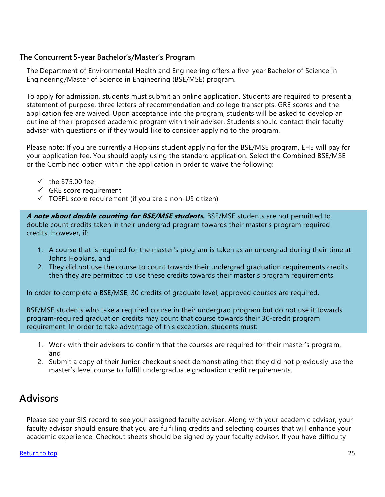#### **The Concurrent 5-year Bachelor's/Master's Program**

The Department of Environmental Health and Engineering offers a five-year Bachelor of Science in Engineering/Master of Science in Engineering (BSE/MSE) program.

To apply for admission, students must submit an online application. Students are required to present a statement of purpose, three letters of recommendation and college transcripts. GRE scores and the application fee are waived. Upon acceptance into the program, students will be asked to develop an outline of their proposed academic program with their adviser. Students should contact their faculty adviser with questions or if they would like to consider applying to the program.

Please note: If you are currently a Hopkins student applying for the BSE/MSE program, EHE will pay for your application fee. You should apply using the standard application. Select the Combined BSE/MSE or the Combined option within the application in order to waive the following:

- $\checkmark$  the \$75.00 fee
- $\checkmark$  GRE score requirement
- $\checkmark$  TOEFL score requirement (if you are a non-US citizen)

**A note about double counting for BSE/MSE students.** BSE/MSE students are not permitted to double count credits taken in their undergrad program towards their master's program required credits. However, if:

- 1. A course that is required for the master's program is taken as an undergrad during their time at Johns Hopkins, and
- 2. They did not use the course to count towards their undergrad graduation requirements credits then they are permitted to use these credits towards their master's program requirements.

In order to complete a BSE/MSE, 30 credits of graduate level, approved courses are required.

BSE/MSE students who take a required course in their undergrad program but do not use it towards program-required graduation credits may count that course towards their 30-credit program requirement. In order to take advantage of this exception, students must:

- 1. Work with their advisers to confirm that the courses are required for their master's program, and
- 2. Submit a copy of their Junior checkout sheet demonstrating that they did not previously use the master's level course to fulfill undergraduate graduation credit requirements.

### <span id="page-24-0"></span>**Advisors**

Please see your SIS record to see your assigned faculty advisor. Along with your academic advisor, your faculty advisor should ensure that you are fulfilling credits and selecting courses that will enhance your academic experience. Checkout sheets should be signed by your faculty advisor. If you have difficulty

#### [Return to top](#page-1-0) 25